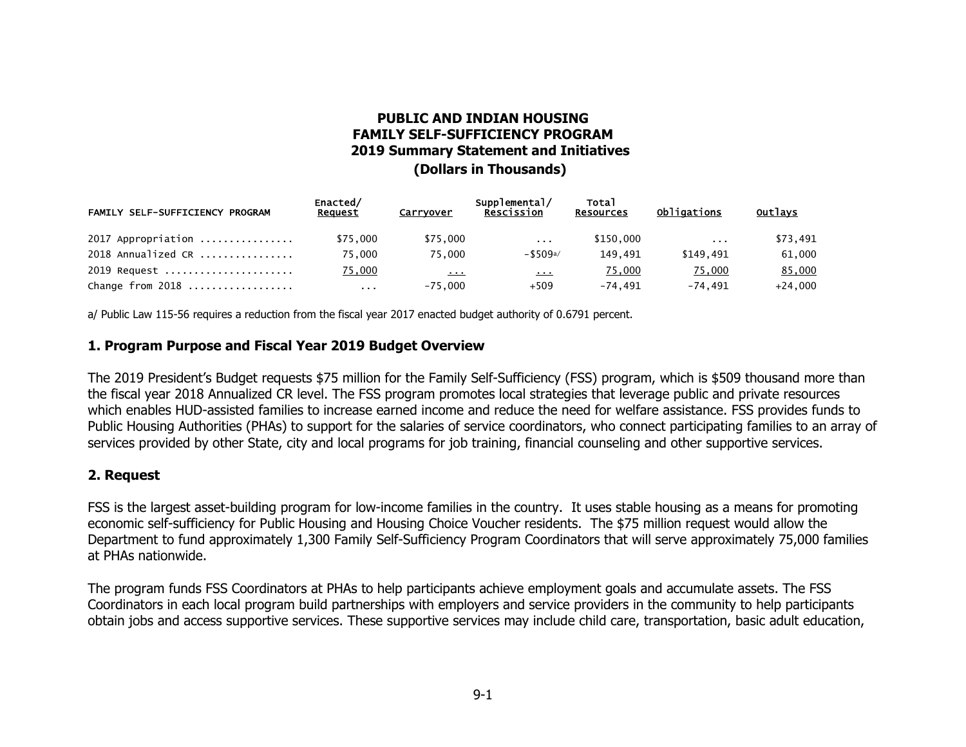# **PUBLIC AND INDIAN HOUSING FAMILY SELF-SUFFICIENCY PROGRAM 2019 Summary Statement and Initiatives**

### **(Dollars in Thousands)**

| FAMILY SELF-SUFFICIENCY PROGRAM | Enacted/<br>Request | Carryover                   | Supplemental/<br>Rescission | <b>Total</b><br><b>Resources</b> | Obligations          | <b>Outlays</b> |
|---------------------------------|---------------------|-----------------------------|-----------------------------|----------------------------------|----------------------|----------------|
| $2017$ Appropriation            | \$75,000            | \$75,000                    | $\sim$ $\sim$ $\sim$        | \$150,000                        | $\sim$ $\sim$ $\sim$ | \$73,491       |
| $2018$ Annualized CR            | 75.000              | 75.000                      | $-$ \$509a/                 | 149.491                          | \$149.491            | 61,000         |
| 2019 Request                    | 75,000              | $\mathbf{r}$ , $\mathbf{r}$ | $\sim$ $\sim$ $\sim$        | 75,000                           | 75,000               | 85,000         |
| Change from 2018                | $\sim 100$          | $-75.000$                   | $+509$                      | -74.491                          | -74.491              | $+24.000$      |

a/ Public Law 115-56 requires a reduction from the fiscal year 2017 enacted budget authority of 0.6791 percent.

#### **1. Program Purpose and Fiscal Year 2019 Budget Overview**

The 2019 President's Budget requests \$75 million for the Family Self-Sufficiency (FSS) program, which is \$509 thousand more than the fiscal year 2018 Annualized CR level. The FSS program promotes local strategies that leverage public and private resources which enables HUD-assisted families to increase earned income and reduce the need for welfare assistance. FSS provides funds to Public Housing Authorities (PHAs) to support for the salaries of service coordinators, who connect participating families to an array of services provided by other State, city and local programs for job training, financial counseling and other supportive services.

#### **2. Request**

FSS is the largest asset-building program for low-income families in the country. It uses stable housing as a means for promoting economic self-sufficiency for Public Housing and Housing Choice Voucher residents. The \$75 million request would allow the Department to fund approximately 1,300 Family Self-Sufficiency Program Coordinators that will serve approximately 75,000 families at PHAs nationwide.

The program funds FSS Coordinators at PHAs to help participants achieve employment goals and accumulate assets. The FSS Coordinators in each local program build partnerships with employers and service providers in the community to help participants obtain jobs and access supportive services. These supportive services may include child care, transportation, basic adult education,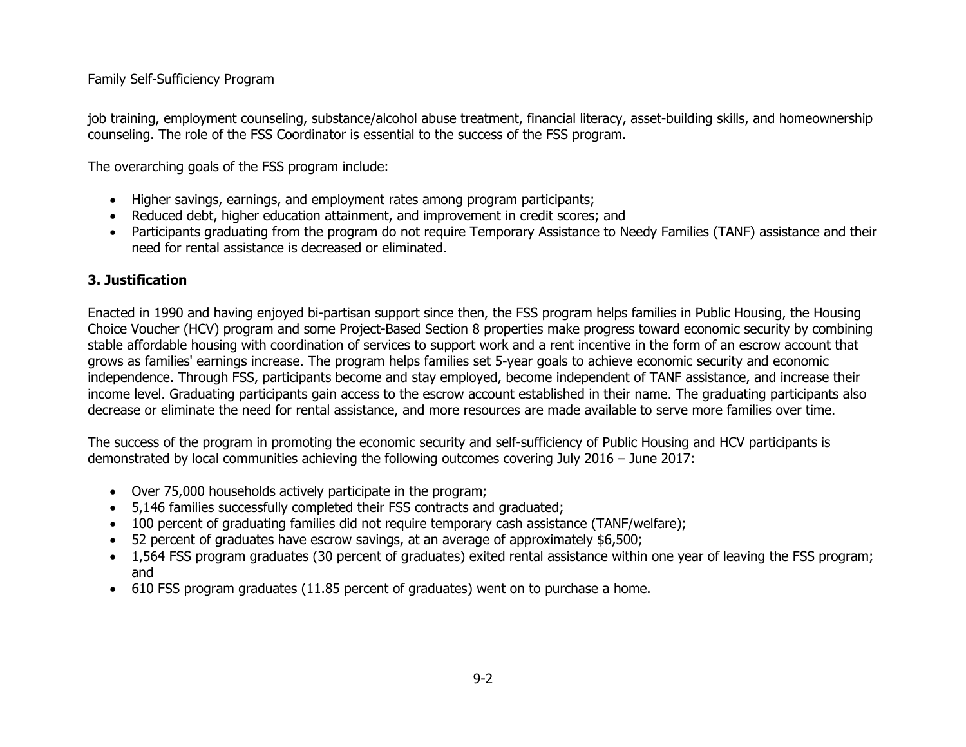# Family Self-Sufficiency Program

job training, employment counseling, substance/alcohol abuse treatment, financial literacy, asset-building skills, and homeownership counseling. The role of the FSS Coordinator is essential to the success of the FSS program.

The overarching goals of the FSS program include:

- Higher savings, earnings, and employment rates among program participants;
- Reduced debt, higher education attainment, and improvement in credit scores; and
- Participants graduating from the program do not require Temporary Assistance to Needy Families (TANF) assistance and their need for rental assistance is decreased or eliminated.

# **3. Justification**

Enacted in 1990 and having enjoyed bi-partisan support since then, the FSS program helps families in Public Housing, the Housing Choice Voucher (HCV) program and some Project-Based Section 8 properties make progress toward economic security by combining stable affordable housing with coordination of services to support work and a rent incentive in the form of an escrow account that grows as families' earnings increase. The program helps families set 5-year goals to achieve economic security and economic independence. Through FSS, participants become and stay employed, become independent of TANF assistance, and increase their income level. Graduating participants gain access to the escrow account established in their name. The graduating participants also decrease or eliminate the need for rental assistance, and more resources are made available to serve more families over time.

The success of the program in promoting the economic security and self-sufficiency of Public Housing and HCV participants is demonstrated by local communities achieving the following outcomes covering July 2016 – June 2017:

- Over 75,000 households actively participate in the program;
- 5,146 families successfully completed their FSS contracts and graduated;
- 100 percent of graduating families did not require temporary cash assistance (TANF/welfare);
- 52 percent of graduates have escrow savings, at an average of approximately \$6,500;
- 1,564 FSS program graduates (30 percent of graduates) exited rental assistance within one year of leaving the FSS program; and
- 610 FSS program graduates (11.85 percent of graduates) went on to purchase a home.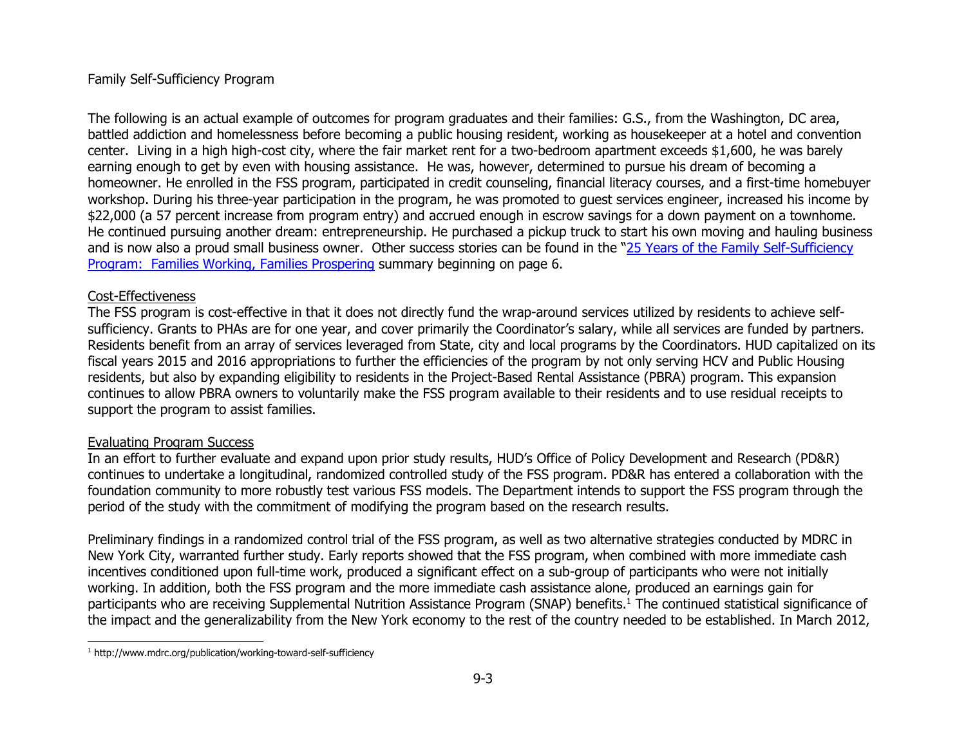### Family Self-Sufficiency Program

The following is an actual example of outcomes for program graduates and their families: G.S., from the Washington, DC area, battled addiction and homelessness before becoming a public housing resident, working as housekeeper at a hotel and convention center. Living in a high high-cost city, where the fair market rent for a two-bedroom apartment exceeds \$1,600, he was barely earning enough to get by even with housing assistance. He was, however, determined to pursue his dream of becoming a homeowner. He enrolled in the FSS program, participated in credit counseling, financial literacy courses, and a first-time homebuyer workshop. During his three-year participation in the program, he was promoted to guest services engineer, increased his income by \$22,000 (a 57 percent increase from program entry) and accrued enough in escrow savings for a down payment on a townhome. He continued pursuing another dream: entrepreneurship. He purchased a pickup truck to start his own moving and hauling business and is now also a proud small business owner. Other success stories can be found in the "25 Years of the Family Self-Sufficiency Program: Families Working, Families Prospering summary beginning on page 6.

### Cost-Effectiveness

The FSS program is cost-effective in that it does not directly fund the wrap-around services utilized by residents to achieve selfsufficiency. Grants to PHAs are for one year, and cover primarily the Coordinator's salary, while all services are funded by partners. Residents benefit from an array of services leveraged from State, city and local programs by the Coordinators. HUD capitalized on its fiscal years 2015 and 2016 appropriations to further the efficiencies of the program by not only serving HCV and Public Housing residents, but also by expanding eligibility to residents in the Project-Based Rental Assistance (PBRA) program. This expansion continues to allow PBRA owners to voluntarily make the FSS program available to their residents and to use residual receipts to support the program to assist families.

# Evaluating Program Success

In an effort to further evaluate and expand upon prior study results, HUD's Office of Policy Development and Research (PD&R) continues to undertake a longitudinal, randomized controlled study of the FSS program. PD&R has entered a collaboration with the foundation community to more robustly test various FSS models. The Department intends to support the FSS program through the period of the study with the commitment of modifying the program based on the research results.

Preliminary findings in a randomized control trial of the FSS program, as well as two alternative strategies conducted by MDRC in New York City, warranted further study. Early reports showed that the FSS program, when combined with more immediate cash incentives conditioned upon full-time work, produced a significant effect on a sub-group of participants who were not initially working. In addition, both the FSS program and the more immediate cash assistance alone, produced an earnings gain for participants who are receiving Supplemental Nutrition Assistance Program (SNAP) benefits.<sup>1</sup> The continued statistical significance of the impact and the generalizability from the New York economy to the rest of the country needed to be established. In March 2012,

<sup>&</sup>lt;sup>1</sup> http://www.mdrc.org/publication/working-toward-self-sufficiency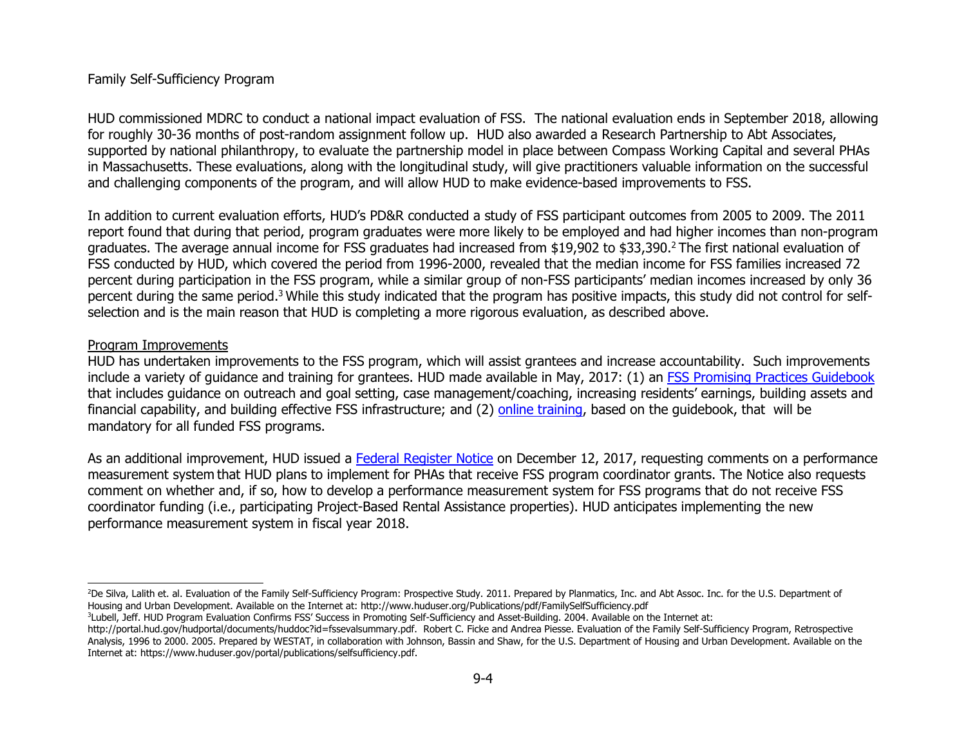#### Family Self-Sufficiency Program

HUD commissioned MDRC to conduct a national impact evaluation of FSS. The national evaluation ends in September 2018, allowing for roughly 30-36 months of post-random assignment follow up. HUD also awarded a Research Partnership to Abt Associates, supported by national philanthropy, to evaluate the partnership model in place between Compass Working Capital and several PHAs in Massachusetts. These evaluations, along with the longitudinal study, will give practitioners valuable information on the successful and challenging components of the program, and will allow HUD to make evidence-based improvements to FSS.

In addition to current evaluation efforts, HUD's PD&R conducted a study of FSS participant outcomes from 2005 to 2009. The 2011 report found that during that period, program graduates were more likely to be employed and had higher incomes than non-program graduates. The average annual income for FSS graduates had increased from \$19,902 to \$33,390.<sup>2</sup>The first national evaluation of FSS conducted by HUD, which covered the period from 1996-2000, revealed that the median income for FSS families increased 72 percent during participation in the FSS program, while a similar group of non-FSS participants' median incomes increased by only 36 percent during the same period.<sup>3</sup> While this study indicated that the program has positive impacts, this study did not control for selfselection and is the main reason that HUD is completing a more rigorous evaluation, as described above.

#### Program Improvements

HUD has undertaken improvements to the FSS program, which will assist grantees and increase accountability. Such improvements include a variety of guidance and training for grantees. HUD made available in May, 2017: (1) an FSS Promising Practices Guidebook that includes guidance on outreach and goal setting, case management/coaching, increasing residents' earnings, building assets and financial capability, and building effective FSS infrastructure; and (2) online training, based on the guidebook, that will be mandatory for all funded FSS programs.

As an additional improvement, HUD issued a Federal Register Notice on December 12, 2017, requesting comments on a performance measurement system that HUD plans to implement for PHAs that receive FSS program coordinator grants. The Notice also requests comment on whether and, if so, how to develop a performance measurement system for FSS programs that do not receive FSS coordinator funding (i.e., participating Project-Based Rental Assistance properties). HUD anticipates implementing the new performance measurement system in fiscal year 2018.

<sup>&</sup>lt;sup>2</sup>De Silva, Lalith et. al. Evaluation of the Family Self-Sufficiency Program: Prospective Study. 2011. Prepared by Planmatics, Inc. and Abt Assoc. Inc. for the U.S. Department of Housing and Urban Development. Available on the Internet at: http://www.huduser.org/Publications/pdf/FamilySelfSufficiency.pdf

<sup>3</sup> Lubell, Jeff. HUD Program Evaluation Confirms FSS' Success in Promoting Self-Sufficiency and Asset-Building. 2004. Available on the Internet at:

http://portal.hud.gov/hudportal/documents/huddoc?id=fssevalsummary.pdf. Robert C. Ficke and Andrea Piesse. Evaluation of the Family Self-Sufficiency Program, Retrospective Analysis, 1996 to 2000. 2005. Prepared by WESTAT, in collaboration with Johnson, Bassin and Shaw, for the U.S. Department of Housing and Urban Development. Available on the Internet at: https://www.huduser.gov/portal/publications/selfsufficiency.pdf.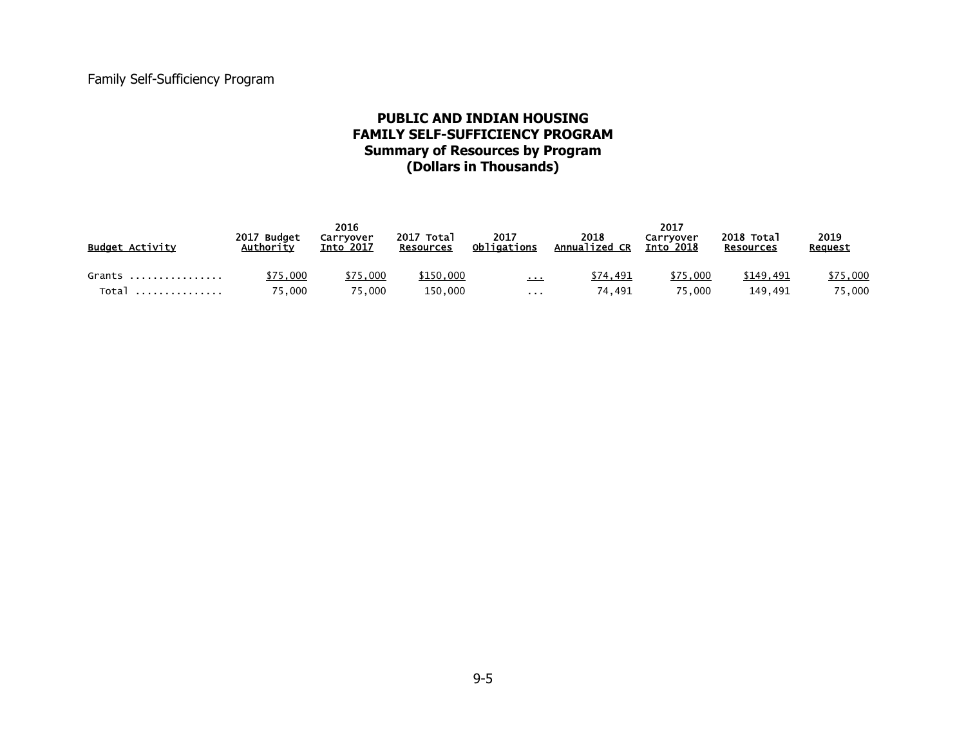# **PUBLIC AND INDIAN HOUSING FAMILY SELF-SUFFICIENCY PROGRAM Summary of Resources by Program (Dollars in Thousands)**

| <b>Budget Activity</b> | 2017 Budget<br>Authority | 2016<br>Carrvover<br>Into 2017 | 2017 Total<br><b>Resources</b> | 2017<br>Obligations | 2018<br>Annualized CR | 2017<br>Carryover<br><b>Into</b> 2018 | 2018 Total<br><b>Resources</b> | 2019<br>Reauest |
|------------------------|--------------------------|--------------------------------|--------------------------------|---------------------|-----------------------|---------------------------------------|--------------------------------|-----------------|
| Grants                 | \$75,000                 | \$75,000                       | \$150,000                      | $\mathbf{r}$        | \$74.491              | \$75,000                              | \$149.491                      | \$75,000        |
| Total                  | 75.000                   | 75.000                         | 150.000                        | .                   | 74.491                | 75.000                                | 149.491                        | 75,000          |